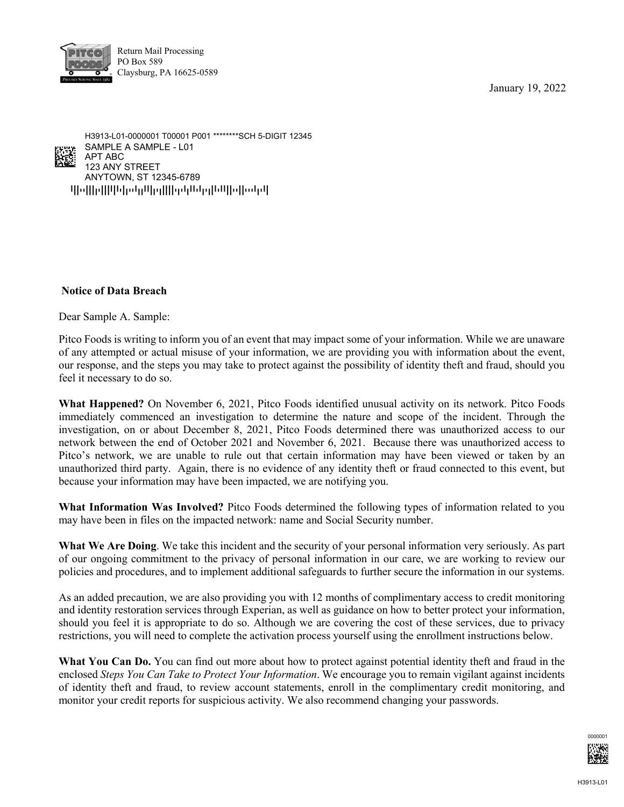January 19, 2022



Return Mail Processing PO Box 589 Claysburg, PA 16625-0589



### **Notice of Data Breach**

Dear Sample A. Sample:

Pitco Foods is writing to inform you of an event that may impact some of your information. While we are unaware of any attempted or actual misuse of your information, we are providing you with information about the event, our response, and the steps you may take to protect against the possibility of identity theft and fraud, should you feel it necessary to do so.

**What Happened?** On November 6, 2021, Pitco Foods identified unusual activity on its network. Pitco Foods immediately commenced an investigation to determine the nature and scope of the incident. Through the investigation, on or about December 8, 2021, Pitco Foods determined there was unauthorized access to our network between the end of October 2021 and November 6, 2021. Because there was unauthorized access to Pitco's network, we are unable to rule out that certain information may have been viewed or taken by an unauthorized third party. Again, there is no evidence of any identity theft or fraud connected to this event, but because your information may have been impacted, we are notifying you.

**What Information Was Involved?** Pitco Foods determined the following types of information related to you may have been in files on the impacted network: name and Social Security number.

**What We Are Doing**. We take this incident and the security of your personal information very seriously. As part of our ongoing commitment to the privacy of personal information in our care, we are working to review our policies and procedures, and to implement additional safeguards to further secure the information in our systems.

As an added precaution, we are also providing you with 12 months of complimentary access to credit monitoring and identity restoration services through Experian, as well as guidance on how to better protect your information, should you feel it is appropriate to do so. Although we are covering the cost of these services, due to privacy restrictions, you will need to complete the activation process yourself using the enrollment instructions below.

**What You Can Do.** You can find out more about how to protect against potential identity theft and fraud in the enclosed *Steps You Can Take to Protect Your Information*. We encourage you to remain vigilant against incidents of identity theft and fraud, to review account statements, enroll in the complimentary credit monitoring, and monitor your credit reports for suspicious activity. We also recommend changing your passwords.

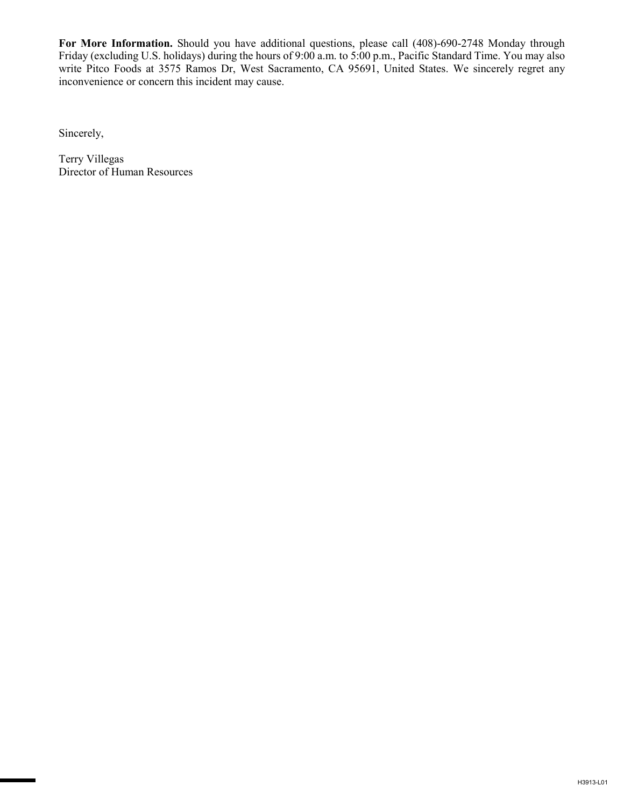For More Information. Should you have additional questions, please call (408)-690-2748 Monday through Friday (excluding U.S. holidays) during the hours of 9:00 a.m. to 5:00 p.m., Pacific Standard Time. You may also write Pitco Foods at 3575 Ramos Dr, West Sacramento, CA 95691, United States. We sincerely regret any inconvenience or concern this incident may cause.

Sincerely,

Terry Villegas Director of Human Resources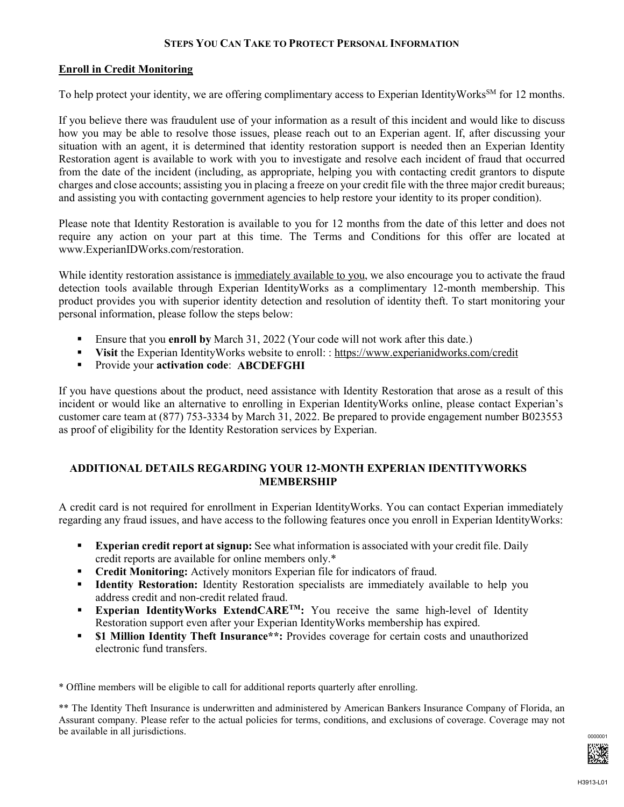## **STEPS YOU CAN TAKE TO PROTECT PERSONAL INFORMATION**

## **Enroll in Credit Monitoring**

To help protect your identity, we are offering complimentary access to Experian IdentityWorks<sup>SM</sup> for 12 months.

If you believe there was fraudulent use of your information as a result of this incident and would like to discuss how you may be able to resolve those issues, please reach out to an Experian agent. If, after discussing your situation with an agent, it is determined that identity restoration support is needed then an Experian Identity Restoration agent is available to work with you to investigate and resolve each incident of fraud that occurred from the date of the incident (including, as appropriate, helping you with contacting credit grantors to dispute charges and close accounts; assisting you in placing a freeze on your credit file with the three major credit bureaus; and assisting you with contacting government agencies to help restore your identity to its proper condition).

Please note that Identity Restoration is available to you for 12 months from the date of this letter and does not require any action on your part at this time. The Terms and Conditions for this offer are located at www.ExperianIDWorks.com/restoration.

While identity restoration assistance is immediately available to you, we also encourage you to activate the fraud detection tools available through Experian IdentityWorks as a complimentary 12-month membership. This product provides you with superior identity detection and resolution of identity theft. To start monitoring your personal information, please follow the steps below:

- Ensure that you **enroll by** March 31, 2022 (Your code will not work after this date.)
- **Visit** the Experian IdentityWorks website to enroll: : https://www.experianidworks.com/credit
- **-** Provide your activation code: ABCDEFGHI

If you have questions about the product, need assistance with Identity Restoration that arose as a result of this incident or would like an alternative to enrolling in Experian IdentityWorks online, please contact Experian's customer care team at (877) 753-3334 by March 31, 2022. Be prepared to provide engagement number B023553 as proof of eligibility for the Identity Restoration services by Experian.

# **ADDITIONAL DETAILS REGARDING YOUR 12-MONTH EXPERIAN IDENTITYWORKS MEMBERSHIP**

A credit card is not required for enrollment in Experian IdentityWorks. You can contact Experian immediately regarding any fraud issues, and have access to the following features once you enroll in Experian IdentityWorks:

- **Experian credit report at signup:** See what information is associated with your credit file. Daily credit reports are available for online members only.\*
- **Credit Monitoring:** Actively monitors Experian file for indicators of fraud.
- **Identity Restoration:** Identity Restoration specialists are immediately available to help you address credit and non-credit related fraud.
- **Experian IdentityWorks ExtendCARE<sup>TM</sup>:** You receive the same high-level of Identity Restoration support even after your Experian IdentityWorks membership has expired.
- **\$1 Million Identity Theft Insurance\*\*:** Provides coverage for certain costs and unauthorized electronic fund transfers.

\* Offline members will be eligible to call for additional reports quarterly after enrolling.

\*\* The Identity Theft Insurance is underwritten and administered by American Bankers Insurance Company of Florida, an Assurant company. Please refer to the actual policies for terms, conditions, and exclusions of coverage. Coverage may not be available in all jurisdictions.

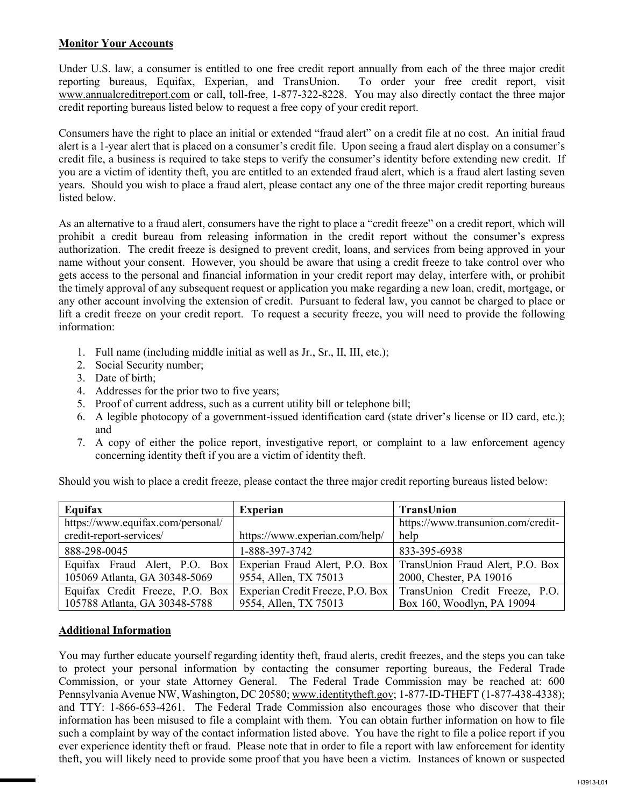## **Monitor Your Accounts**

Under U.S. law, a consumer is entitled to one free credit report annually from each of the three major credit reporting bureaus, Equifax, Experian, and TransUnion. To order your free credit report, visit www.annualcreditreport.com or call, toll-free, 1-877-322-8228. You may also directly contact the three major credit reporting bureaus listed below to request a free copy of your credit report.

Consumers have the right to place an initial or extended "fraud alert" on a credit file at no cost. An initial fraud alert is a 1-year alert that is placed on a consumer's credit file. Upon seeing a fraud alert display on a consumer's credit file, a business is required to take steps to verify the consumer's identity before extending new credit. If you are a victim of identity theft, you are entitled to an extended fraud alert, which is a fraud alert lasting seven years. Should you wish to place a fraud alert, please contact any one of the three major credit reporting bureaus listed below.

As an alternative to a fraud alert, consumers have the right to place a "credit freeze" on a credit report, which will prohibit a credit bureau from releasing information in the credit report without the consumer's express authorization. The credit freeze is designed to prevent credit, loans, and services from being approved in your name without your consent. However, you should be aware that using a credit freeze to take control over who gets access to the personal and financial information in your credit report may delay, interfere with, or prohibit the timely approval of any subsequent request or application you make regarding a new loan, credit, mortgage, or any other account involving the extension of credit. Pursuant to federal law, you cannot be charged to place or lift a credit freeze on your credit report. To request a security freeze, you will need to provide the following information:

- 1. Full name (including middle initial as well as Jr., Sr., II, III, etc.);
- 2. Social Security number;
- 3. Date of birth;
- 4. Addresses for the prior two to five years;
- 5. Proof of current address, such as a current utility bill or telephone bill;
- 6. A legible photocopy of a government-issued identification card (state driver's license or ID card, etc.); and
- 7. A copy of either the police report, investigative report, or complaint to a law enforcement agency concerning identity theft if you are a victim of identity theft.

| Equifax                           | <b>Experian</b>                | TransUnion                                                        |
|-----------------------------------|--------------------------------|-------------------------------------------------------------------|
| https://www.equifax.com/personal/ |                                | https://www.transunion.com/credit-                                |
| credit-report-services/           | https://www.experian.com/help/ | help                                                              |
| 888-298-0045                      | 1-888-397-3742                 | 833-395-6938                                                      |
| Equifax Fraud Alert, P.O. Box     |                                | Experian Fraud Alert, P.O. Box   TransUnion Fraud Alert, P.O. Box |
| 105069 Atlanta, GA 30348-5069     | 9554, Allen, TX 75013          | 2000, Chester, PA 19016                                           |
| Equifax Credit Freeze, P.O. Box   |                                | Experian Credit Freeze, P.O. Box   TransUnion Credit Freeze, P.O. |
| 105788 Atlanta, GA 30348-5788     | 9554, Allen, TX 75013          | Box 160, Woodlyn, PA 19094                                        |

Should you wish to place a credit freeze, please contact the three major credit reporting bureaus listed below:

# **Additional Information**

You may further educate yourself regarding identity theft, fraud alerts, credit freezes, and the steps you can take to protect your personal information by contacting the consumer reporting bureaus, the Federal Trade Commission, or your state Attorney General.The Federal Trade Commission may be reached at: 600 Pennsylvania Avenue NW, Washington, DC 20580; www.identitytheft.gov; 1-877-ID-THEFT (1-877-438-4338); and TTY: 1-866-653-4261. The Federal Trade Commission also encourages those who discover that their information has been misused to file a complaint with them. You can obtain further information on how to file such a complaint by way of the contact information listed above. You have the right to file a police report if you ever experience identity theft or fraud. Please note that in order to file a report with law enforcement for identity theft, you will likely need to provide some proof that you have been a victim. Instances of known or suspected